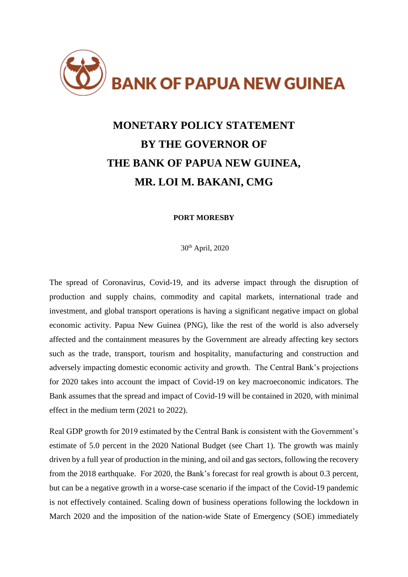

## **MONETARY POLICY STATEMENT BY THE GOVERNOR OF THE BANK OF PAPUA NEW GUINEA, MR. LOI M. BAKANI, CMG**

## **PORT MORESBY**

30th April, 2020

The spread of Coronavirus, Covid-19, and its adverse impact through the disruption of production and supply chains, commodity and capital markets, international trade and investment, and global transport operations is having a significant negative impact on global economic activity. Papua New Guinea (PNG), like the rest of the world is also adversely affected and the containment measures by the Government are already affecting key sectors such as the trade, transport, tourism and hospitality, manufacturing and construction and adversely impacting domestic economic activity and growth. The Central Bank's projections for 2020 takes into account the impact of Covid-19 on key macroeconomic indicators. The Bank assumes that the spread and impact of Covid-19 will be contained in 2020, with minimal effect in the medium term (2021 to 2022).

Real GDP growth for 2019 estimated by the Central Bank is consistent with the Government's estimate of 5.0 percent in the 2020 National Budget (see Chart 1). The growth was mainly driven by a full year of production in the mining, and oil and gas sectors, following the recovery from the 2018 earthquake. For 2020, the Bank's forecast for real growth is about 0.3 percent, but can be a negative growth in a worse-case scenario if the impact of the Covid-19 pandemic is not effectively contained. Scaling down of business operations following the lockdown in March 2020 and the imposition of the nation-wide State of Emergency (SOE) immediately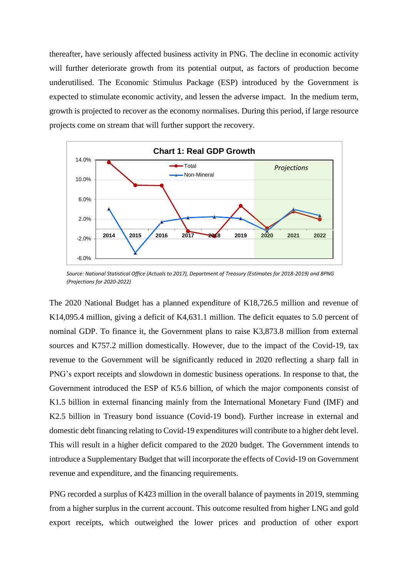thereafter, have seriously affected business activity in PNG. The decline in economic activity will further deteriorate growth from its potential output, as factors of production become underutilised. The Economic Stimulus Package (ESP) introduced by the Government is expected to stimulate economic activity, and lessen the adverse impact. In the medium term, growth is projected to recover as the economy normalises. During this period, if large resource projects come on stream that will further support the recovery.



*Source: National Statistical Office (Actuals to 2017), Department of Treasury (Estimates for 2018-2019) and BPNG (Projections for 2020-2022)*

The 2020 National Budget has a planned expenditure of K18,726.5 million and revenue of K14,095.4 million, giving a deficit of K4,631.1 million. The deficit equates to 5.0 percent of nominal GDP. To finance it, the Government plans to raise K3,873.8 million from external sources and K757.2 million domestically. However, due to the impact of the Covid-19, tax revenue to the Government will be significantly reduced in 2020 reflecting a sharp fall in PNG's export receipts and slowdown in domestic business operations. In response to that, the Government introduced the ESP of K5.6 billion, of which the major components consist of K1.5 billion in external financing mainly from the International Monetary Fund (IMF) and K2.5 billion in Treasury bond issuance (Covid-19 bond). Further increase in external and domestic debt financing relating to Covid-19 expenditures will contribute to a higher debt level. This will result in a higher deficit compared to the 2020 budget. The Government intends to introduce a Supplementary Budget that will incorporate the effects of Covid-19 on Government revenue and expenditure, and the financing requirements.

PNG recorded a surplus of K423 million in the overall balance of payments in 2019, stemming from a higher surplus in the current account. This outcome resulted from higher LNG and gold export receipts, which outweighed the lower prices and production of other export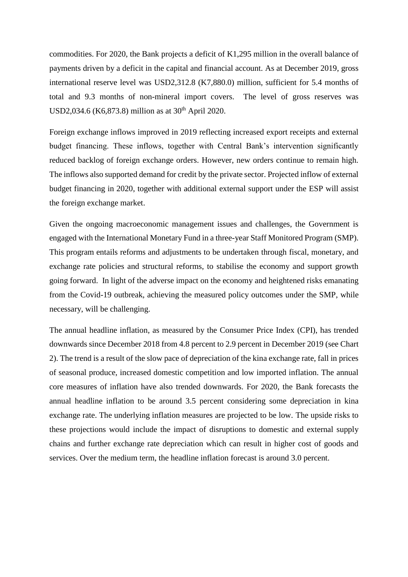commodities. For 2020, the Bank projects a deficit of K1,295 million in the overall balance of payments driven by a deficit in the capital and financial account. As at December 2019, gross international reserve level was USD2,312.8 (K7,880.0) million, sufficient for 5.4 months of total and 9.3 months of non-mineral import covers. The level of gross reserves was USD2,034.6 (K6,873.8) million as at  $30^{th}$  April 2020.

Foreign exchange inflows improved in 2019 reflecting increased export receipts and external budget financing. These inflows, together with Central Bank's intervention significantly reduced backlog of foreign exchange orders. However, new orders continue to remain high. The inflows also supported demand for credit by the private sector. Projected inflow of external budget financing in 2020, together with additional external support under the ESP will assist the foreign exchange market.

Given the ongoing macroeconomic management issues and challenges, the Government is engaged with the International Monetary Fund in a three-year Staff Monitored Program (SMP). This program entails reforms and adjustments to be undertaken through fiscal, monetary, and exchange rate policies and structural reforms, to stabilise the economy and support growth going forward. In light of the adverse impact on the economy and heightened risks emanating from the Covid-19 outbreak, achieving the measured policy outcomes under the SMP, while necessary, will be challenging.

The annual headline inflation, as measured by the Consumer Price Index (CPI), has trended downwards since December 2018 from 4.8 percent to 2.9 percent in December 2019 (see Chart 2). The trend is a result of the slow pace of depreciation of the kina exchange rate, fall in prices of seasonal produce, increased domestic competition and low imported inflation. The annual core measures of inflation have also trended downwards. For 2020, the Bank forecasts the annual headline inflation to be around 3.5 percent considering some depreciation in kina exchange rate. The underlying inflation measures are projected to be low. The upside risks to these projections would include the impact of disruptions to domestic and external supply chains and further exchange rate depreciation which can result in higher cost of goods and services. Over the medium term, the headline inflation forecast is around 3.0 percent.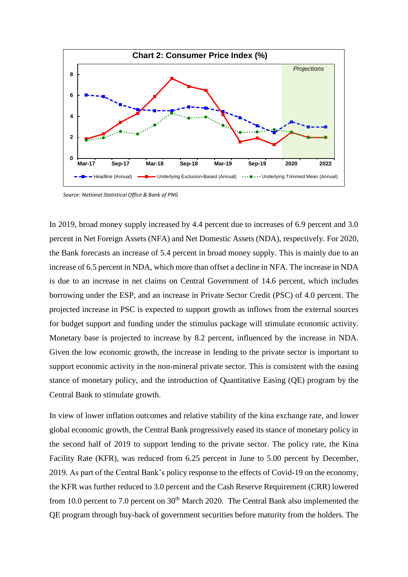

*Source: National Statistical Office & Bank of PNG*

In 2019, broad money supply increased by 4.4 percent due to increases of 6.9 percent and 3.0 percent in Net Foreign Assets (NFA) and Net Domestic Assets (NDA), respectively. For 2020, the Bank forecasts an increase of 5.4 percent in broad money supply. This is mainly due to an increase of 6.5 percent in NDA, which more than offset a decline in NFA. The increase in NDA is due to an increase in net claims on Central Government of 14.6 percent, which includes borrowing under the ESP, and an increase in Private Sector Credit (PSC) of 4.0 percent. The projected increase in PSC is expected to support growth as inflows from the external sources for budget support and funding under the stimulus package will stimulate economic activity. Monetary base is projected to increase by 8.2 percent, influenced by the increase in NDA. Given the low economic growth, the increase in lending to the private sector is important to support economic activity in the non-mineral private sector. This is consistent with the easing stance of monetary policy, and the introduction of Quantitative Easing (QE) program by the Central Bank to stimulate growth.

In view of lower inflation outcomes and relative stability of the kina exchange rate, and lower global economic growth, the Central Bank progressively eased its stance of monetary policy in the second half of 2019 to support lending to the private sector. The policy rate, the Kina Facility Rate (KFR), was reduced from 6.25 percent in June to 5.00 percent by December, 2019. As part of the Central Bank's policy response to the effects of Covid-19 on the economy, the KFR was further reduced to 3.0 percent and the Cash Reserve Requirement (CRR) lowered from 10.0 percent to 7.0 percent on  $30<sup>th</sup>$  March 2020. The Central Bank also implemented the QE program through buy-back of government securities before maturity from the holders. The